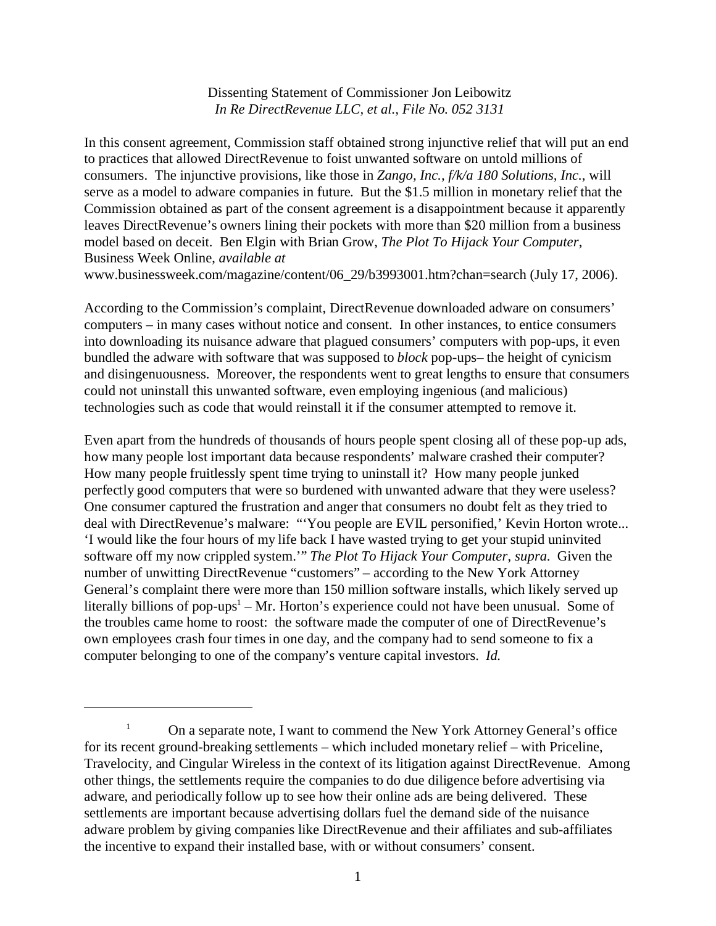## Dissenting Statement of Commissioner Jon Leibowitz *In Re DirectRevenue LLC, et al., File No. 052 3131*

In this consent agreement, Commission staff obtained strong injunctive relief that will put an end to practices that allowed DirectRevenue to foist unwanted software on untold millions of consumers. The injunctive provisions, like those in *Zango, Inc., f/k/a 180 Solutions, Inc.*, will serve as a model to adware companies in future. But the \$1.5 million in monetary relief that the Commission obtained as part of the consent agreement is a disappointment because it apparently leaves DirectRevenue's owners lining their pockets with more than \$20 million from a business model based on deceit. Ben Elgin with Brian Grow, *The Plot To Hijack Your Computer*, Business Week Online, *available at*

www.businessweek.com/magazine/content/06\_29/b3993001.htm?chan=search (July 17, 2006).

According to the Commission's complaint, DirectRevenue downloaded adware on consumers' computers – in many cases without notice and consent. In other instances, to entice consumers into downloading its nuisance adware that plagued consumers' computers with pop-ups, it even bundled the adware with software that was supposed to *block* pop-ups– the height of cynicism and disingenuousness. Moreover, the respondents went to great lengths to ensure that consumers could not uninstall this unwanted software, even employing ingenious (and malicious) technologies such as code that would reinstall it if the consumer attempted to remove it.

Even apart from the hundreds of thousands of hours people spent closing all of these pop-up ads, how many people lost important data because respondents' malware crashed their computer? How many people fruitlessly spent time trying to uninstall it? How many people junked perfectly good computers that were so burdened with unwanted adware that they were useless? One consumer captured the frustration and anger that consumers no doubt felt as they tried to deal with DirectRevenue's malware: "'You people are EVIL personified,' Kevin Horton wrote... 'I would like the four hours of my life back I have wasted trying to get your stupid uninvited software off my now crippled system.'" *The Plot To Hijack Your Computer*, *supra*. Given the number of unwitting DirectRevenue "customers" – according to the New York Attorney General's complaint there were more than 150 million software installs, which likely served up literally billions of pop-ups<sup>1</sup> – Mr. Horton's experience could not have been unusual. Some of the troubles came home to roost: the software made the computer of one of DirectRevenue's own employees crash four times in one day, and the company had to send someone to fix a computer belonging to one of the company's venture capital investors. *Id.*

<sup>&</sup>lt;sup>1</sup> On a separate note, I want to commend the New York Attorney General's office for its recent ground-breaking settlements – which included monetary relief – with Priceline, Travelocity, and Cingular Wireless in the context of its litigation against DirectRevenue. Among other things, the settlements require the companies to do due diligence before advertising via adware, and periodically follow up to see how their online ads are being delivered. These settlements are important because advertising dollars fuel the demand side of the nuisance adware problem by giving companies like DirectRevenue and their affiliates and sub-affiliates the incentive to expand their installed base, with or without consumers' consent.